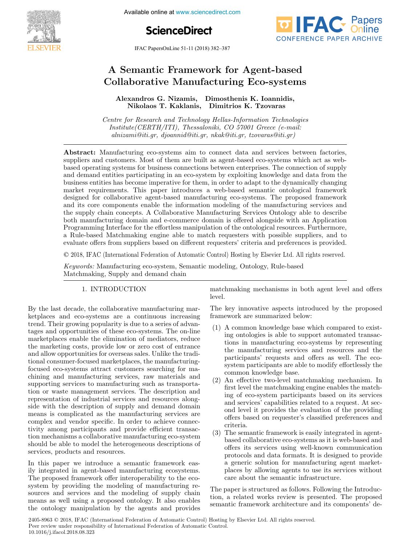**Information Control Problems in Available online at www.sciencedirect.com Information Control Problems in Manufacturing in Manufacturing in Manufacturing in Manufacturing in Manufacturing in Manufacturing in Manufacturing in Manufacturing in Manufacturing in Manufacturing in Manufacturing in Ma** 





IFAC PapersOnLine 51-11 (2018) 382–387

#### $A \rightarrow \infty$  , and  $A \rightarrow \infty$ A Semantic Framework for Agent-based  $A \cap \mathcal{S}$  for  $A \cap \mathcal{S}$ A Semantic Framework for Agent-Dased A Semantic Framework for Agent-based Collaborative Manufacturing Eco-systems

A Semantic Framework for Agent-based

Alexandros G. Nizamis, Dimosthenis K. Ioannidis, Alexandros G. Nizamis, Dimosthenis K. Ioannidis, Alexandros G. Nizamis, Dimosthenis K. Ioannidis, Alexandros G. Nizamis, Dimosthenis K. Ioannidis, Nikolaos T. Kaklanis, Dimitrios K. Tzovaras Alexandros G. Nizamis, Dimostiellis K. Ioannidis,<br>Nikolaas T. Kaklanis - Dimitrics K. Tzermas Nikolaos T. Kaklanis, Dimitrios K. Tzovaras Nikolaos T. Kaklanis, Dimitrios K. Tzovaras Nikolaos T. Kaklanis, Dimitrios K. Tzovaras Nikolaos T. Kaklanis, Dimitrios K. Tzovaras Alexandros G. Nizamis, Dimosthenis K. Ioannidis,

Institute (CERTH/ITI), Thessaloniki, CO 57001 Greece (e-mail:  $\mu$ <sub>1</sub>  $\mu$ <sub>1</sub>  $\mu$ <sub>1</sub>  $\mu$ <sub>1</sub>  $\mu$ <sub>1</sub>  $\mu$ <sub>1</sub>  $\mu$ <sub>1</sub>  $\mu$ <sub>1</sub>  $\mu$ <sub>1</sub>  $\mu$ <sub>1</sub>  $\mu$ <sub>1</sub>  $\mu$ <sub>1</sub>  $\mu$ <sub>1</sub>  $\mu$ <sub>1</sub>  $\mu$ <sub>1</sub>  $\mu$ <sub>1</sub>  $\mu$ <sub>1</sub>  $\mu$ <sub>1</sub>  $\mu$ <sub>1</sub>  $\mu$ <sub>1</sub>  $\mu$ <sub>1</sub>  $\mu$ <sub>1</sub>  $\mu$ <sub>1</sub>  $\mu$ <sub>1</sub>  $\mu$ <sub>1</sub>  $\mu$ <sub>1</sub>  $\mu$ <sub>1</sub>  $\mu$ <sub></sub>  $a$ inizami@iti.gr, ajoanni $a$ @iti.gr, nkak@iti.gr, tzovaras@iti.gr $\rho$  $\it alnizami@iti.gr.~djoannid@iti.gr.~nkak@iti.gr.~tzovaras@iti.gr)$ alniza $\alpha$ iti.gr, dioanni $\alpha$ iti.gr, nkaka iti $\alpha$ Centre for Research and Technology Hellas-Information Technologies  $\begin{bmatrix} 1 & 0 & 0 \\ 0 & 0 & 0 \\ 0 & 0 & 0 \end{bmatrix}$ 

suppliers and customers. Most of them are built as agent-based eco-systems which act as webbased operating systems for business connections between enterprises. The connection of supply and demand entities participating in an eco-system by exploiting knowledge and data from the business entities has become imperative for them, in order to adapt to the dynamically changing market requirements. This paper introduces a web-based semantic ontological framework designed for collaborative agent-based manufacturing eco-systems. The proposed framework and its core components enable the information modeling of the manufacturing services and the supply chain concepts. A Collaborative Manufacturing Services Ontology able to describe both manufacturing domain and e-commerce domain is offered alongside with an Application Programming Interface for the effortless manipulation of the ontological resources. Furthermore, a Rule-based Matchmaking engine able to match requesters with possible suppliers, and to  $\epsilon$  results above above matter of  $\epsilon$  matter  $\epsilon$  matter  $\epsilon$  matter  $\epsilon$  matter  $\epsilon$  matter  $\epsilon$  matter of  $\epsilon$  for  $\epsilon$  matter  $\epsilon$  and  $\epsilon$  of  $\epsilon$  for  $\epsilon$  matter  $\epsilon$  and  $\epsilon$  of  $\epsilon$  for  $\epsilon$  matter  $\epsilon$  and  $\epsilon$  evaluate offers from suppliers based on different requesters' criteria and preferences is provided. evaluate offers from suppliers based on different requesters' criteria and preferences is provided. Abstract: Manufacturing eco-systems aim to connect data and services between factories, Abstract: Manufacturing eco-systems aim to connect data and services between factories,  $\mathbf{A}$  between  $\mathbf{A}$  and  $\mathbf{A}$  and  $\mathbf{A}$  are systems and to connect data and services between  $\mathbf{A}$  and  $\mathbf{A}$  and  $\mathbf{A}$  and  $\mathbf{A}$  and  $\mathbf{A}$  and  $\mathbf{A}$  and  $\mathbf{A}$  and  $\mathbf{A}$  and  $\mathbf{A}$  and suppliers and customers. Most of them are built as agent-based eco-systems which act as web-<br>based operating systems for business connections between enterprises. The connection of supply based operating systems for business connections between enterprises. The connection of supply<br>and demand entities participating in an eco-system by exploiting knowledge and data from the and demand entities participating in an eco-system by exploiting knowledge and data from the business entities has become imperative for them, in order to adapt to the dynamically changing business entities has become imperative for them, in order to adapt to the dynamical  $\gamma$  is negative in  $\gamma$ market requirements. This paper introduces a web-based semantic ontological framework<br>designed for collaborative agent-based manufacturing eco-systems. The proposed framework designed for collaborative agent-based manufacturing eco-systems. The proposed manufacturing explicitly explicitly the proposed framework of the proposed framework of the proposed framework of the proposed framework of the and its core components enable the information modeling of the manufacturing services and<br>the supply chain concepts. A Collaborative Manufacturing Services Ontology able to describe<br>both manufacturing domain and e-commerce the supply chain concepts. A Collaborative Manufacturing Services Ontology able to describe  $\frac{1}{\sqrt{2}}$ both manufacturing domain and e-commerce domain is offered alongside with an Application<br>Programming Interface for the effortless manipulation of the ontological resources. Furthermore, Programming interface for the effortless mampulation of the ontological resources. Furthermore,<br>a Rule-based Matchmaking engine able to match requesters with possible suppliers, and to a Rule-based Matchmaking engine able to match requesters with possible suppliers, and to  $\frac{1}{2}$ evaluate offers from suppliers based on different requesters' criteria and preferences is provided. alizativniza eo graterez eine te connect dete end gerriese k

© 2018, IFAC (International Federation of Automatic Control) Hosting by Elsevier Ltd. All rights reserved.  $\lambda$  and  $\lambda$  and  $\lambda$  and  $\lambda$  and  $\lambda$  are semantic modeling. Semantic modeling,  $\lambda$  and  $\lambda$  and  $\lambda$  $\alpha$  Rule-based Matchesotic matching engine able to  $\alpha$  in  $\alpha$  in  $\alpha$  requesters with possible suppliers, and to matchesotic suppliers with possible suppliers, and to matchesotic suppliers with possible suppliers, and  $\heartsuit$  2018, IFAC (international rederation of Automatic Control) hosting by Elsevier Ltd. An rights reserved.

Keywords: Manufacturing eco-system, Semantic modeling, Ontology, Rule-based Matchmaking, Supply and demand chain Matchmaking, Supply and demand chain Matchmaking, Supply and demand chain Keywords: Manufacturing eco-system, Semantic modeling, Ontology, Rule-based  $K = 1.36$  eco-system,  $M = 0$  eco-system, Semantic modeling, Rule-based modeling, Rule-based modeling, Rule-based *Neywords:* Manufacturing eco-system, Se Keywords: Manufacturing eco-system, Semantic modeling, Ontology, Rule-based

#### 1. INTRODUCTION 1. INTRODUCTION 1. INTRODUCTION 1. INTRODUCTION 1. INTRODUCTION Matchmaking, Supply and demand chain

By the last decade, the collaborative manufacturing mar-By the last decade, the collaborative manufacturing mar $ket$  and eco-systems are a continuous increasing  $\frac{1}{2}$ trend. Their growing popularity is due to a series of advantages and opportunities of these eco-systems. The on-line marketplaces enable the elimination of mediators, reduce the marketing costs, provide low or zero cost of entrance and allow opportunities for overseas sales. Unlike the traditional consumer-focused marketplaces, the manufacturingfocused eco-systems attract customers searching for machining and manufacturing services, raw materials and supporting services to manufacturing such as transportation or waste management services. The description and representation of industrial services and resources alongside with the description of supply and demand domain means is complicated as the manufacturing services are complex and vendor specific. In order to achieve connectivity among participants and provide efficient transaction mechanisms a collaborative manufacturing eco-system should be able to model the heterogeneous descriptions of services, products and resources. services, products and resources. services, products and resources. services, products and resources. should be able to model the heterogeneous descriptions of  $B_{\rm tot}$  the last decade, the collaboration manufacturing manufacturing manufacturing manufacturing manufacturing manufacturing manufacturing manufacturing manufacturing manufacturing manufacturing manufacturing manufactu by the fast decade, the conaborative manufacturing mar-By the last decade, the collaborative manufacturing mar-By the last decade, the collaborative manufacturing marketplaces and eco-systems are a continuous increasing ketplaces and eco-systems are a continuous increasing By the last decade, the collaborative manufacturing martrend. Their growing popularity is due to a series of advan-trend. Their growing popularity is due to a series of advan-ketplaces and eco-systems are a continuous increasing tages and opportunities of these eco-systems. The on-line tages and opportunities of these eco-systems. marketplaces enable the elimination of mediators, reduce marketplaces enable the elimination of mediators, reduce marketplaces enable the elimination of mediators, reduce<br>the marketing costs, provide low or zero cost of entrance<br>and allow opportunities for overseas sales. Unlike the tradiand allow opportunities for overseas sales. Unlike the tradi-and allow opportunities for overseas sales. Unlike the traditional consumer-focused marketplaces, the manufacturing-tional consumer-focused marketplaces, the manufacturing-and allow opportunities for overseas sales. Unlike the tradifocused eco-systems attract customers searching for machining and manufacturing services, raw materials and chining and manufacturing services, raw materials and focused eco-systems attract customers searching for masupporting services to manufacturing such as transporta-supporting services to manufacturing such as transporta-chining and manufacturing services, raw materials and tion or waste management services. The description and tion or waste management services. The description and supporting services to manufacturing such as transportarepresentation of industrial services and resources along-representation of industrial services and resources alongrepresentation or muustrial services and resources along-<br>side with the description of supply and demand domain means is complicated as the manufacturing services are means is complicated as the manufacturing services are side with the description of supply and demand domain means is complexed as the manufacturing services are<br>complex and vendor specific. In order to achieve connectivity among participants and provide efficient transaction mechanisms a collaborative manufacturing eco-system tion mechanisms a collaborative manufacturing eco-system tivity among participants and provide efficient transacshould be able to model the heterogeneous descriptions of should be able to model the heterogeneous descriptions of tion mechanisms a collaborative manufacturing eco-system

In this paper we introduce a semantic framework eas-In this paper we introduce a semantic framework easily integrated in agent-based manufacturing ecosystems. The proposed framework offer interoperability to the ecosystem by providing the modeling of manufacturing resources and services and the modeling of supply chain means as well using a proposed ontology. It also enables the ontology manipulation by the agents and provides the ontology manipulation by the agents and provides the ontology manipulation by the agents and provides the ontology manipulation by the agents and provides  $I \cup I$  this paper we introduce a semantic framework easein this paper we introduce a semantic framework eas-In this paper we introduce a semantic framework easily integrated in agent-based manufacturing ecosystems. ily integrated in agent-based manufacturing ecosystems. In this paper we introduce a semantic framework eas-The proposed framework offer interoperability to the eco-The proposed framework offer interoperability to the eco-ily integrated in agent-based manufacturing ecosystems. system by providing the modeling of manufacturing re-system by providing the modeling of manufacturing re-The proposed framework offer interoperability to the ecosystem by providing the modeling of manufacturing resources and services and the modeling of supply chain means as well using a proposed ontology. It also enables means as well using a proposed ontology. It also enables sources and services and the modeling of supply chain matchmaking mechanisms in both agent level and offers matchmaking mechanisms in both agent level and offers level. level. level. level.  $m+1$  mechanisms in both agent level and offers in both agent level and offers in both agent level and offers in  $\alpha$ iliate<br>1 matchmaking mechanisms in both agent level and offers matchmaking mechanisms in both agent level and offers  $\mu$  mechanisms in both agent level.

The key innovative aspects introduced by the proposed framework are summarized below: framework are summarized below: framework are summarized below: framework are summarized below: The key innovative aspects introduced by the proposed  $T$  in the key introduced by the proposed by the proposed by the proposed by the proposed by the proposed by the proposed by the proposed by the proposed by the proposed by the proposed by the proposed by the proposed by I he key imnovative aspects intro-The key innovative aspects introduced by the proposed

- (1) A common knowledge base which compared to exist-(1) A common knowledge base which compared to existing ontologies is able to support automated transactions in manufacturing eco-systems by representing the manufacturing services and resources and the the manufacturing services and resources and the participants' requests and offers as well. The eco-participants' requests and offers as well. The ecosystem participants are able to modify effortlessly the common knowledge base. common knowledge base. common knowledge base. common knowledge base. (1) A common knowledge base which compared to existe  $\mathbf{r}$ A common knowledge base which compared to existthe manufacturing services and resources and the the manufacturing services and resources and the the manufacturing services and resources and the tions in manufacturing eco-systems by representing  $\mu$  requests and offer as well. The equation of experiments and offer as well. The experiment as well. The experiment of  $\mu$  $\mu$  participants requests and oners as well. The eco- $\frac{1}{2}$  common knowledge base.  $(1)$  A common knowledge base which compared to existing ontologies is able to support automated transac-ing ontologies is able to support automated transac-(1) A common knowledge base which compared to existparticipants' requests and offers as well. The ecosystem participants are able to modify effortlessly the system participants are able to modify effortlessly the participants' requests and offers as well. The eco-
- (2) An effective two-level matchmaking mechanism. In (2) An effective two-level matchmaking mechanism. In first level the matchmaking engine enables the matching of eco-system participants based on its services and services' capabilities related to a request. At second level it provides the evaluation of the providing  $\frac{d}{dt}$ offers based on requester's classified preferences and offers based on requester's classified preferences and criteria. criteria. criteria. criteria. criteria. an enective two-level matchmaking mechanism. In  $(3)$  The semantic framework is easily integrated in a generator in a generator in a generator in a generator in a generator in a generator in a generator in a generator in a generator in a generator in a generator in a g common knowledge base.<br>
(2) An effective two-level matchmaking mechanism. In (2) An effective two-level matchmaking mechanism. In first level the matchmaking engine enables the matching of eco-system participants based on its services and services' capabilities related to a request. At sec-and services' capabilities related to a request. At sec-ing of eco-system participants based on its services ond level it provides the evaluation of the providing ond level it provides the evaluation of the providing and services' capabilities related to a request. At secoffers based on requester's classified preferences and criteria. An effective two-level m
- (3) The semantic framework is easily integrated in agent-(3) The semantic framework is easily integrated in agentbased collaborative eco-systems as it is web-based and  $\frac{d}{dx}$ offers its services using well-known communication offers its services using well-known communication protocols and data formats. It is designed to provide protocols and data formats. It is designed to provide a generic solution for manufacturing agent marketplaces by allowing agents to use its services without care about the semantic infrastructure. care about the semantic infrastructure. care about the semantic infrastructure. care about the semantic infrastructure. places by allowing agents to use its services without I he semantic trainework is easily integrated in agent-(3) The semantic framework is easily integrated in agent-(3) The semantic framework is easily integrated in agent-criteria. based collaborative eco-systems as it is web-based and based collaborative eco-systems as it is web-based and (3) The semantic framework is easily integrated in agentoffers its services using well-known communication offers its services using well-known communication offers its services using well-known communication protocols and data formats. It is designed to provide a generic solution for manufacturing agent market-a generic solution for manufacturing agent market-protocols and data formats. It is designed to provide a generic solution for manufacturing agent market-

The paper is structured as follows. Following the Introduc-The paper is structured as follows. Following the Introduction, a related works review is presented. The proposed semantic framework architecture and its components' de-The paper is structured as follows. Following the Introducthe paper is structured as ionows. Following the introduc-The paper is structured as follows. Following the Introduction, a related works review is presented. The proposed tion, a related works review is presented. The proposed The paper is structured as follows. Following the Introduc-

the ontology manipulation by the agents and provides<br>2405-8963 © 2018, IFAC (International Federation of Automatic Control) Hosting by Elsevier Ltd. All rights reserved.<br>2500-8963 © 2018, IFAC (International Federation of Peer review under responsibility of International Federation of Automatic Control. 10.1016/j.ifacol.2018.08.323 **Copyright © 2018 IFAC 382**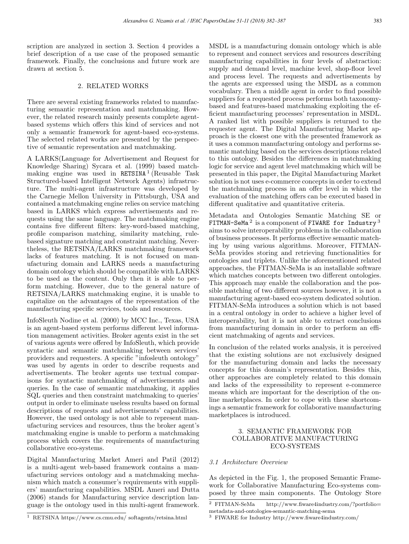scription are analyzed in section 3. Section 4 provides a brief description of a use case of the proposed semantic framework. Finally, the conclusions and future work are drawn at section 5.

# 2. RELATED WORKS

There are several existing frameworks related to manufacturing semantic representation and matchmaking. However, the related research mainly presents complete agentbased systems which offers this kind of services and not only a semantic framework for agent-based eco-systems. The selected related works are presented by the perspective of semantic representation and matchmaking.

A LARKS(Language for Advertisement and Request for Knowledge Sharing) Sycara et al. (1999) based matchmaking engine was used in RETSINA<sup>1</sup> (Reusable Task Structured-based Intelligent Network Agents) infrastructure. The multi-agent infrastructure was developed by the Carnegie Mellon University in Pittsburgh, USA and contained a matchmaking engine relies on service matching based in LARKS which express advertisements and requests using the same language. The matchmaking engine contains five different filters: key-word-based matching, profile comparison matching, similarity matching, rulebased signature matching and constraint matching. Nevertheless, the RETSINA/LARKS matchmaking framework lacks of features matching. It is not focused on manufacturing domain and LARKS needs a manufacturing domain ontology which should be compatible with LARKS to be used as the content. Only then it is able to perform matching. However, due to the general nature of RETSINA/LARKS matchmaking engine, it is unable to capitalize on the advantages of the representation of the manufacturing specific services, tools and resources.

InfoSleuth Nodine et al. (2000) by MCC Inc., Texas, USA is an agent-based system performs different level information management activities. Broker agents exist in the set of various agents were offered by InfoSleuth, which provide syntactic and semantic matchmaking between services' providers and requesters. A specific "infosleuth ontology" was used by agents in order to describe requests and advertisements. The broker agents use textual comparisons for syntactic matchmaking of advertisements and queries. In the case of semantic matchmaking, it applies SQL queries and then constraint matchmaking to queries' output in order to eliminate useless results based on formal descriptions of requests and advertisements' capabilities. However, the used ontology is not able to represent manufacturing services and resources, thus the broker agent's matchmaking engine is unable to perform a matchmaking process which covers the requirements of manufacturing collaborative eco-systems.

Digital Manufacturing Market Ameri and Patil (2012) is a multi-agent web-based framework contains a manufacturing services ontology and a matchmaking mechanism which match a consumer's requirements with suppliers' manufacturing capabilities. MSDL Ameri and Dutta (2006) stands for Manufacturing service description language is the ontology used in this multi-agent framework. MSDL is a manufacturing domain ontology which is able to represent and connect services and resources describing manufacturing capabilities in four levels of abstraction: supply and demand level, machine level, shop-floor level and process level. The requests and advertisements by the agents are expressed using the MSDL as a common vocabulary. Then a middle agent in order to find possible suppliers for a requested process performs both taxonomybased and features-based matchmaking exploiting the efficient manufacturing processes' representation in MSDL. A ranked list with possible suppliers is returned to the requester agent. The Digital Manufacturing Market approach is the closest one with the presented framework as it uses a common manufacturing ontology and performs semantic matching based on the services descriptions related to this ontology. Besides the differences in matchmaking logic for service and agent level matchmaking which will be presented in this paper, the Digital Manufacturing Market solution is not uses e-commerce concepts in order to extend the matchmaking process in an offer level in which the evaluation of the matching offers can be executed based in different qualitative and quantitative criteria.

Metadata and Ontologies Semantic Matching SE or FITMAN-SeMa<sup>2</sup> is a component of FIWARE for Industry<sup>3</sup> aims to solve interoperability problems in the collaboration of business processes. It performs effective semantic matching by using various algorithms. Moreover, FITMAN-SeMa provides storing and retrieving functionalities for ontologies and triplets. Unlike the aforementioned related approaches, the FITMAN-SeMa is an installable software which matches concepts between two different ontologies. This approach may enable the collaboration and the possible matching of two different sources however, it is not a manufacturing agent-based eco-system dedicated solution. FITMAN-SeMa introduces a solution which is not based in a central ontology in order to achieve a higher level of interoperability, but it is not able to extract conclusions from manufacturing domain in order to perform an efficient matchmaking of agents and services.

In conclusion of the related works analysis, it is perceived that the existing solutions are not exclusively designed for the manufacturing domain and lacks the necessary concepts for this domain's representation. Besides this, other approaches are completely related to this domain and lacks of the expressibility to represent e-commerce means which are important for the description of the online marketplaces. In order to cope with these shortcomings a semantic framework for collaborative manufacturing marketplaces is introduced.

## 3. SEMANTIC FRAMEWORK FOR COLLABORATIVE MANUFACTURING ECO-SYSTEMS

# 3.1 Architecture Overview

As depicted in the Fig. 1, the proposed Semantic Framework for Collaborative Manufacturing Eco-systems composed by three main components. The Ontology Store

 $^{\rm 1}$  RETSINA https://www.cs.cmu.edu/ softagents/retsina.html

<sup>2</sup> FITMAN-SeMa http://www.fiware4industry.com/?portfolio= metadata-and-ontologies-semantic-matching-sema

 $^3\,$  FIWARE for Industry http://www.fiware4industry.com/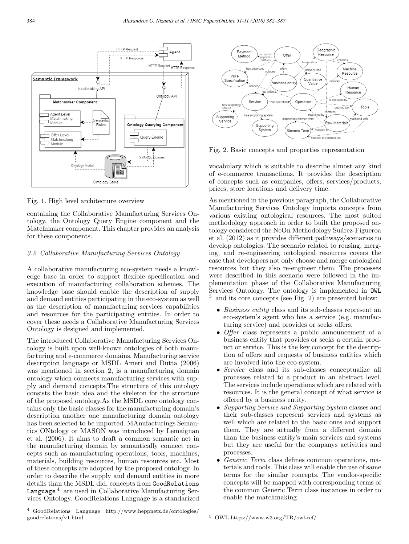Fig. 1. High level architecture overview

containing the Collaborative Manufacturing Services Ontology, the Ontology Query Engine component and the Matchmaker component. This chapter provides an analysis for these components.

88

## 3.2 Collaborative Manufacturing Services Ontology

Ontology Store

A collaborative manufacturing eco-system needs a knowledge base in order to support flexible specification and execution of manufacturing collaboration schemes. The knowledge base should enable the description of supply and demand entities participating in the eco-system as well as the description of manufacturing services capabilities and resources for the participating entities. In order to cover these needs a Collaborative Manufacturing Services Ontology is designed and implemented.

The introduced Collaborative Manufacturing Services Ontology is built upon well-known ontologies of both manufacturing and e-commerce domains. Manufacturing service description language or MSDL Ameri and Dutta (2006) was mentioned in section 2, is a manufacturing domain ontology which connects manufacturing services with supply and demand concepts.The structure of this ontology consists the basic idea and the skeleton for the structure of the proposed ontology.As the MSDL core ontology contains only the basic classes for the manufacturing domain's description another one manufacturing domain ontology has been selected to be imported. MAnufacturings Semantics ONtology or MASON was introduced by Lemaignan et al. (2006). It aims to draft a common semantic net in the manufacturing domain by semantically connect concepts such as manufacturing operations, tools, machines, materials, building resources, human resources etc. Most of these concepts are adopted by the proposed ontology. In order to describe the supply and demand entities in more details than the MSDL did, concepts from GoodRelations Language<sup>4</sup> are used in Collaborative Manufacturing Services Ontology. GoodRelations Language is a standarized



Fig. 2. Basic concepts and properties representation

vocabulary which is suitable to describe almost any kind of e-commerce transactions. It provides the description of concepts such as companies, offers, services/products, prices, store locations and delivery time.

As mentioned in the previous paragraph, the Collaborative Manufacturing Services Ontology imports concepts from various existing ontological resources. The most suited methodology approach in order to built the proposed ontology considered the NeOn Methodology Suárez-Figueroa et al. (2012) as it provides different pathways/scenarios to develop ontologies. The scenario related to reusing, merging, and re-engineering ontological resources covers the case that developers not only choose and merge ontological resources but they also re-engineer them. The processes were described in this scenario were followed in the implementation phase of the Collaborative Manufacturing Services Ontology. The ontology is implemented in OWL and its core concepts (see Fig. 2) are presented below:

- Business entity class and its sub-classes represent an eco-system's agent who has a service (e.g. manufacturing service) and provides or seeks offers.
- Offer class represents a public announcement of a business entity that provides or seeks a certain product or service. This is the key concept for the description of offers and requests of business entities which are involved into the eco-system.
- Service class and its sub-classes conceptualize all processes related to a product in an abstract level. The services include operations which are related with resources. It is the general concept of what service is offered by a business entity.
- Supporting Service and Supporting System classes and their sub-classes represent services and systems as well which are related to the basic ones and support them. They are actually from a different domain than the business entity's main services and systems but they are useful for the companys activities and processes.
- Generic Term class defines common operations, materials and tools. This class will enable the use of same terms for the similar concepts. The vendor-specific concepts will be mapped with corresponding terms of the common Generic Term class instances in order to enable the matchmaking.



<sup>4</sup> GoodRelations Language http://www.heppnetz.de/ontologies/ goodrelations/v1.html

 $^5\,$  OWL https://www.w3.org/TR/owl-ref/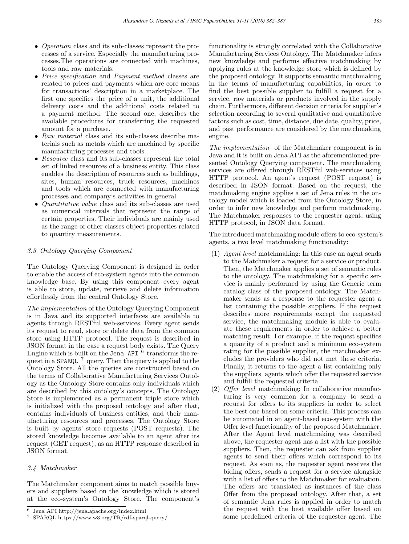- Operation class and its sub-classes represent the processes of a service. Especially the manufacturing processes.The operations are connected with machines, tools and raw materials.
- Price specification and Payment method classes are related to prices and payments which are core means for transactions' description in a marketplace. The first one specifies the price of a unit, the additional delivery costs and the additional costs related to a payment method. The second one, describes the available procedures for transferring the requested amount for a purchase.
- Raw material class and its sub-classes describe materials such as metals which are machined by specific manufacturing processes and tools.
- Resource class and its sub-classes represent the total set of linked resources of a business entity. This class enables the description of resources such as buildings, sites, human resources, truck resources, machines and tools which are connected with manufacturing processes and company's activities in general.
- Quantitative value class and its sub-classes are used as numerical intervals that represent the range of certain properties. Their individuals are mainly used as the range of other classes object properties related to quantity measurements.

## 3.3 Ontology Querying Component

The Ontology Querying Component is designed in order to enable the access of eco-system agents into the common knowledge base. By using this component every agent is able to store, update, retrieve and delete information effortlessly from the central Ontology Store.

The implementation of the Ontology Querying Component is in Java and its supported interfaces are available to agents through RESTful web-services. Every agent sends its request to read, store or delete data from the common store using HTTP protocol. The request is described in JSON format in the case a request body exists. The Query Engine which is built on the Jena API  $\overset{6}{\circ}$  transforms the request in a SPARQL  $^7$  query. Then the query is applied to the Ontology Store. All the queries are constructed based on the terms of Collaborative Manufacturing Services Ontology as the Ontology Store contains only individuals which are described by this ontology's concepts. The Ontology Store is implemented as a permanent triple store which is initialized with the proposed ontology and after that, contains individuals of business entities, and their manufacturing resources and processes. The Ontology Store is built by agents' store requests (POST requests). The stored knowledge becomes available to an agent after its request (GET request), as an HTTP response described in JSON format.

## 3.4 Matchmaker

The Matchmaker component aims to match possible buyers and suppliers based on the knowledge which is stored at the eco-system's Ontology Store. The component's functionality is strongly correlated with the Collaborative Manufacturing Services Ontology. The Matchmaker infers new knowledge and performs effective matchmaking by applying rules at the knowledge store which is defined by the proposed ontology. It supports semantic matchmaking in the terms of manufacturing capabilities, in order to find the best possible supplier to fulfill a request for a service, raw materials or products involved in the supply chain. Furthermore, different decision criteria for supplier's selection according to several qualitative and quantitative factors such as cost, time, distance, due date, quality, price, and past performance are considered by the matchmaking engine.

The implementation of the Matchmaker component is in Java and it is built on Jena API as the aforementioned presented Ontology Querying component. The matchmaking services are offered through RESTful web-services using HTTP protocol. An agent's request (POST request) is described in JSON format. Based on the request, the matchmaking engine applies a set of Jena rules in the ontology model which is loaded from the Ontology Store, in order to infer new knowledge and perform matchmaking. The Matchmaker responses to the requester agent, using HTTP protocol, in JSON data format.

The introduced matchmaking module offers to eco-system's agents, a two level matchmaking functionality:

- (1) Agent level matchmaking: In this case an agent sends to the Matchmaker a request for a service or product. Then, the Matchmaker applies a set of semantic rules to the ontology. The matchmaking for a specific service is mainly performed by using the Generic term catalog class of the proposed ontology. The Matchmaker sends as a response to the requester agent a list containing the possible suppliers. If the request describes more requirements except the requested service, the matchmaking module is able to evaluate these requirements in order to achieve a better matching result. For example, if the request specifies a quantity of a product and a minimum eco-system rating for the possible supplier, the matchmaker excludes the providers who did not met these criteria. Finally, it returns to the agent a list containing only the suppliers agents which offer the requested service and fulfill the requested criteria.
- (2) Offer level matchmaking: In collaborative manufacturing is very common for a company to send a request for offers to its suppliers in order to select the best one based on some criteria. This process can be automated in an agent-based eco-system with the Offer level functionality of the proposed Matchmaker. After the Agent level matchmaking was described above, the requester agent has a list with the possible suppliers. Then, the requester can ask from supplier agents to send their offers which correspond to its request. As soon as, the requester agent receives the biding offers, sends a request for a service alongside with a list of offers to the Matchmaker for evaluation. The offers are translated as instances of the class Offer from the proposed ontology. After that, a set of semantic Jena rules is applied in order to match the request with the best available offer based on some predefined criteria of the requester agent. The

<sup>6</sup> Jena API http://jena.apache.org/index.html

<sup>7</sup> SPARQL https://www.w3.org/TR/rdf-sparql-query/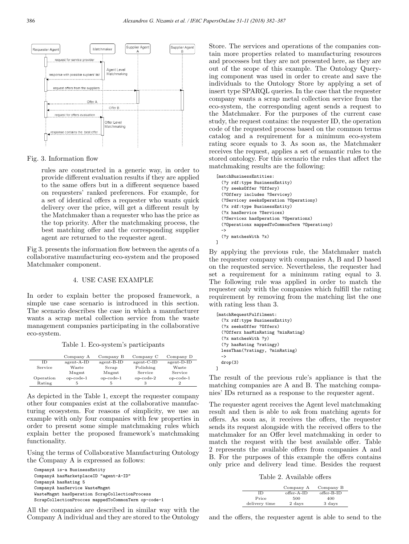

Fig. 3. Information flow

rules are constructed in a generic way, in order to provide different evaluation results if they are applied to the same offers but in a different sequence based on requesters' ranked preferences. For example, for a set of identical offers a requester who wants quick delivery over the price, will get a different result by the Matchmaker than a requester who has the price as the top priority. After the matchmaking process, the best matching offer and the corresponding supplier agent are returned to the requester agent.

Fig 3. presents the information flow between the agents of a collaborative manufacturing eco-system and the proposed Matchmaker component.

### 4. USE CASE EXAMPLE

In order to explain better the proposed framework, a simple use case scenario is introduced in this section. The scenario describes the case in which a manufacturer wants a scrap metal collection service from the waste management companies participating in the collaborative eco-system.

Table 1. Eco-system's participants

|           | Company A    | Company B    | Company C    | Company D    |
|-----------|--------------|--------------|--------------|--------------|
| ΙD        | $agent-A-ID$ | $agent-B-ID$ | $agent-C-ID$ | $agent-D-ID$ |
| Service   | Waste        | Scrap        | Polishing    | Waste        |
|           | Mngmt        | Mngmt        | Service      | Service      |
| Operation | op-code-1    | op-code-1    | $op-code-2$  | op-code-1    |
| Rating    |              |              |              |              |

As depicted in the Table 1, except the requester company other four companies exist at the collaborative manufacturing ecosystem. For reasons of simplicity, we use an example with only four companies with few properties in order to present some simple matchmaking rules which explain better the proposed framework's matchmaking functionality.

Using the terms of Collaborative Manufacturing Ontology the Company A is expressed as follows:

```
CompanyA is-a BusinessEntity
CompanyA hasMarketplaceID "agent-A-ID"
CompanyA hasRating 5
CompanyA hasService WasteMngmt
WasteMngmt hasOperation ScrapCollectionProcess
ScrapCollectionProcces mappedToCommonTerm op-code-1
```
All the companies are described in similar way with the Company A individual and they are stored to the Ontology Store. The services and operations of the companies contain more properties related to manufacturing resources and processes but they are not presented here, as they are out of the scope of this example. The Ontology Querying component was used in order to create and save the individuals to the Ontology Store by applying a set of insert type SPARQL queries. In the case that the requester company wants a scrap metal collection service from the eco-system, the corresponding agent sends a request to the Matchmaker. For the purposes of the current case study, the request contains: the requester ID, the operation code of the requested process based on the common terms catalog and a requirement for a minimum eco-system rating score equals to 3. As soon as, the Matchmaker receives the request, applies a set of semantic rules to the stored ontology. For this scenario the rules that affect the matchmaking results are the following:

```
[matchBusinessEntities:
  (?y rdf:type BusinessEntity)
  (?y seeksOffer ?Offery)
  (?Offery includes ?Servicey)
  (?Servicey seeksOperation ?Operationy)
  (?x rdf:type BusinessEntity)
  (?x hasService ?Servicex)
  (?Servicex hasOperation ?Operationx)
  (?Operationx mappedToCommonTerm ?Operationy)
  ->
  (?y matchesWith ?x)
]
```
By applying the previous rule, the Matchmaker match the requester company with companies A, B and D based on the requested service. Nevertheless, the requester had set a requirement for a minimum rating equal to 3. The following rule was applied in order to match the requester only with the companies which fulfill the rating requirement by removing from the matching list the one with rating less than 3.

```
[matchRequestFulfilment:
  (?x rdf:type BusinessEntity)
  (?x seeksOffer ?Offerx)
 (?Offerx hasMinRating ?minRating)
 (?x matchesWith ?y)
 (?y hasRating ?ratingy)
 lessThan(?ratingy, ?minRating)
 ->
 drop(3)
```
]

The result of the previous rule's appliance is that the matching companies are A and B. The matching companies' IDs returned as a response to the requester agent.

The requester agent receives the Agent level matchmaking result and then is able to ask from matching agents for offers. As soon as, it receives the offers, the requester sends its request alongside with the received offers to the matchmaker for an Offer level matchmaking in order to match the request with the best available offer. Table 2 represents the available offers from companies A and B. For the purposes of this example the offers contains only price and delivery lead time. Besides the request

Table 2. Available offers

|               | Company A    | Company B    |
|---------------|--------------|--------------|
| ΙD            | $offer-A-ID$ | $offer-B-ID$ |
| Price         | 500          | 400          |
| delivery time | 2 days       | 3 days       |

and the offers, the requester agent is able to send to the